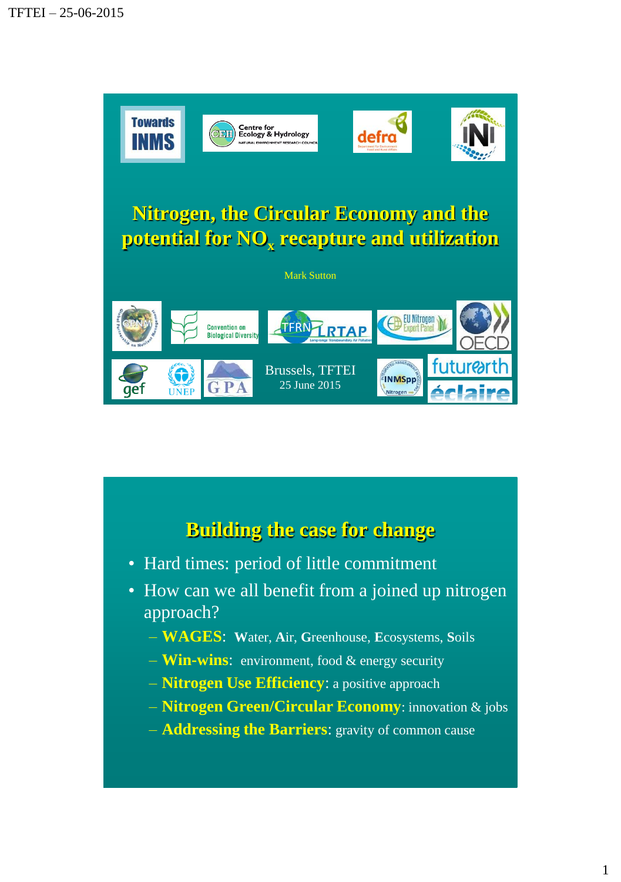

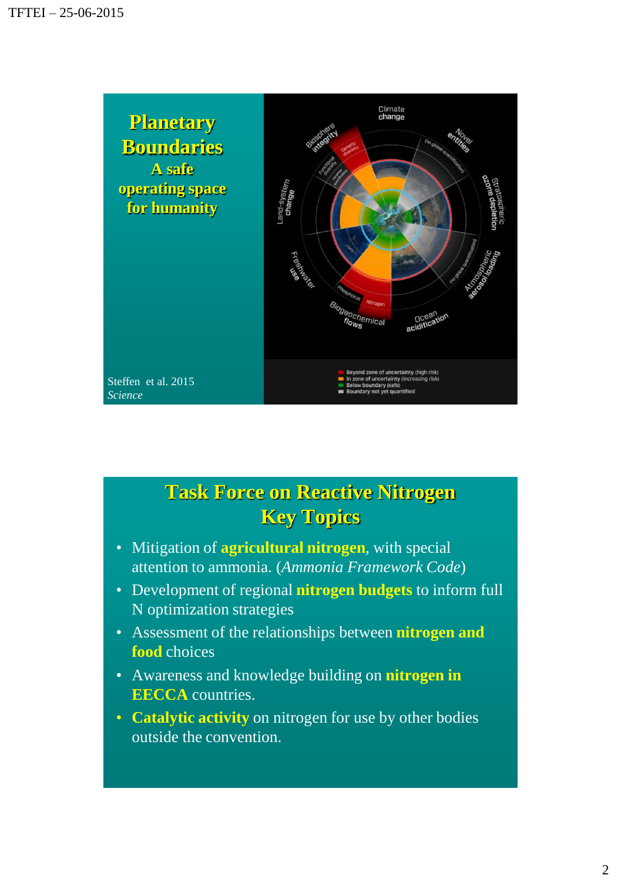

## **Task Force on Reactive Nitrogen Key Topics**

- Mitigation of **agricultural nitrogen**, with special attention to ammonia. (*Ammonia Framework Code*)
- Development of regional **nitrogen budgets** to inform full N optimization strategies
- Assessment of the relationships between **nitrogen and food** choices
- Awareness and knowledge building on **nitrogen in EECCA** countries.
- **Catalytic activity** on nitrogen for use by other bodies outside the convention.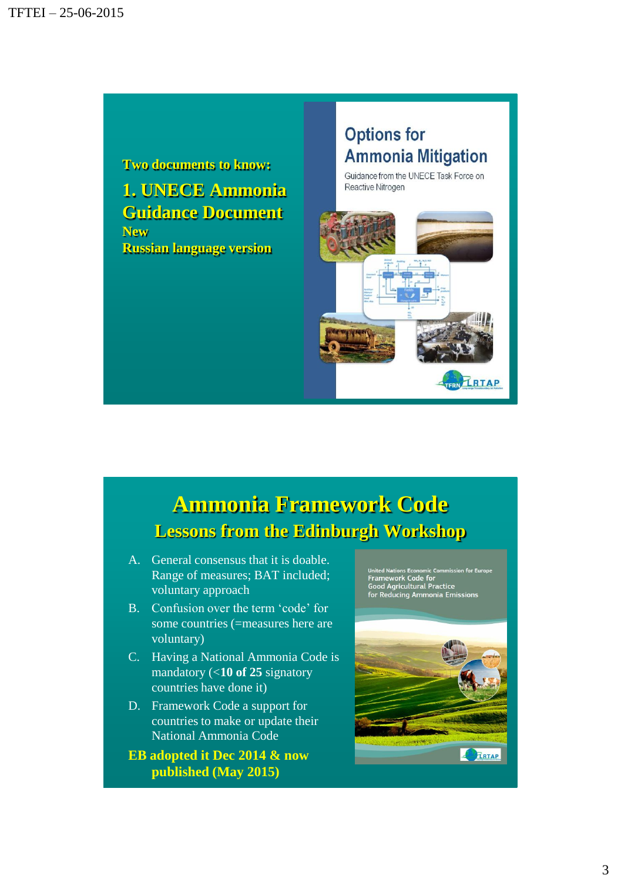

## **Options for Ammonia Mitigation**

Guidance from the UNECE Task Force on Reactive Nitrogen



## **Ammonia Framework Code Lessons from the Edinburgh Workshop**

- A. General consensus that it is doable. Range of measures; BAT included; voluntary approach
- B. Confusion over the term 'code' for some countries (=measures here are voluntary)
- C. Having a National Ammonia Code is mandatory (<**10 of 25** signatory countries have done it)
- D. Framework Code a support for countries to make or update their National Ammonia Code
- **EB adopted it Dec 2014 & now published (May 2015)**

United Nations Economic Commission for Eu<br>Framework Code for<br>Good Agricultural Practice<br>for Reducing Ammonia Emissions

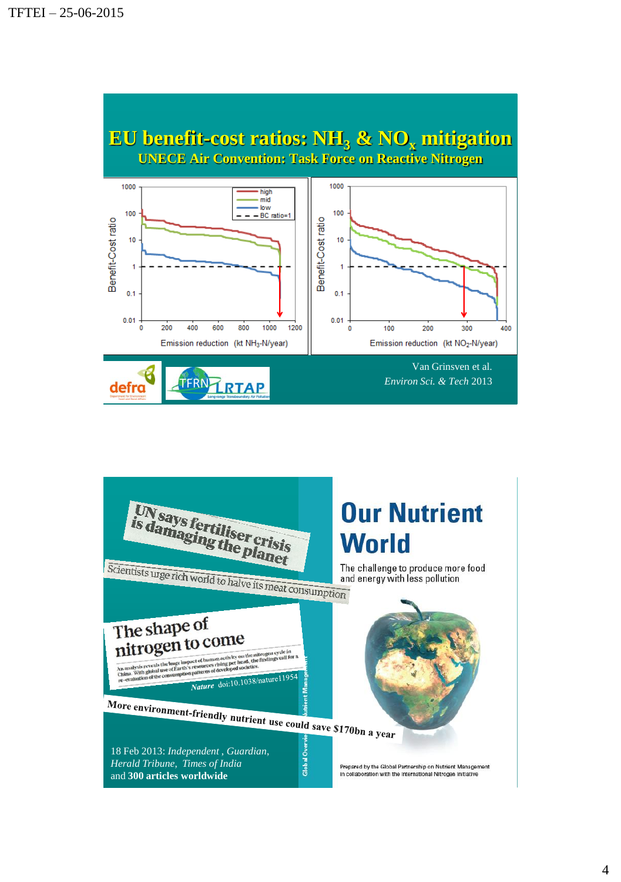

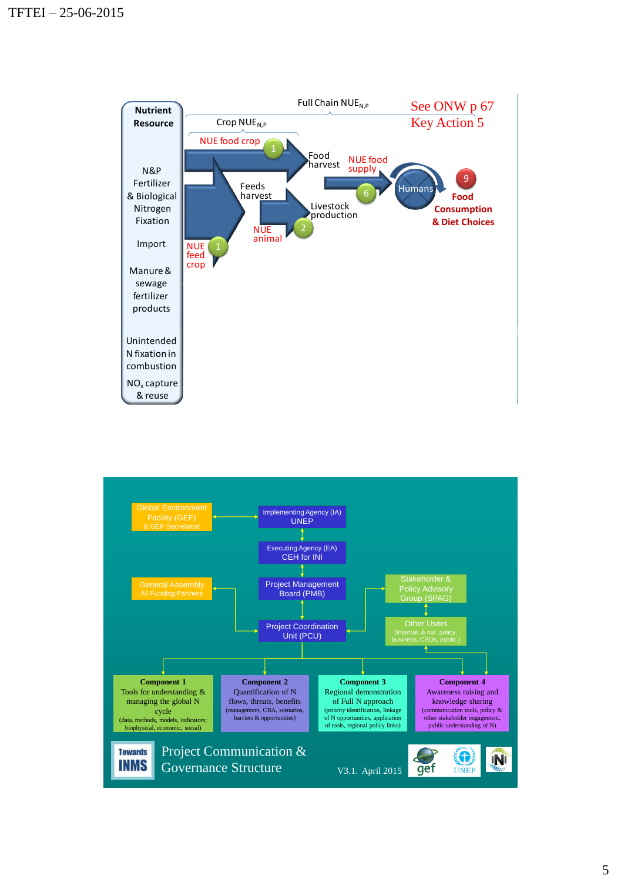